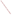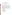### AGENCY: Environmental Protection Agency (EPA).

## **TITLE: "**ASSISTANCE AGREEMENT FOR ENVIRONMENTAL JUSTICE AND AIR PERMITTING WORKSHOPS"

**ACTION:** Request for Applications (RFA) - Initial Announcement.

**RFA NO:** OAR-OAQPS-ITPID-05-02

CATALOGUE OF FEDERAL DOMESTIC ASSISTANCE (CFDA) NO:

**DATES:** The closing date for receipt of applications is February 25, 2005, 5:00 p.m. EDT. Applications submitted via U.S. mail must be received in the Program Office by the closing date and time. No late proposals will be accepted.

**SUMMARY**: This notice announces the availability of funds and solicits proposals from state, local, multi-state, tribal agencies and non-profit public or private organizations or institutions, for a partnership project that (1) develops and delivers a training workshop that increases the awareness within environmental justice communities of permitting programs that affect air quality and (2) develops and delivers a training workshop that brings together governmental, community, academic, and advocacy groups and representatives to discuss emerging issues related to the Clean Air Act's Title V operating permits program.

**FUNDING/AWARDS:** The total estimate funding for this competitive opportunity is approximately \$80,000. EPA anticipates award of one cooperative agreement resulting from this announcement.

## **CONTENTS BY SECTION**

- I. Funding Opportunity Description
- II. Award Information
- III. Eligibility Information
- IV. Application and Submission Information
- V. Application Review Information
- VI. Award Administration Information
- VII. Agency Contacts
- VIII. Other Information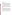## **I. Funding Opportunity Description**

### **A. Background**

OAR's Office of Air Quality Planning and Standards has co-sponsored more than 15 public workshops across the country, which are designed to demystify the permit process and encourage public participation. These training events cover two major permit programs for sources of air pollution - the Title V Operating Permits Program and the New Source Review Program. In order to bring more grass roots representatives into those training workshops when they are repeated in the future, we awarded an assistance agreement for development and presentation of a pilot course on the basics of the Clean Air Act and permitting for environmental justice communities and advocates.

In addition, to foster effective public participation in the Title V operating permits program, OAR has provided financial and technical assistance to develop training workshops for community advocates who are engaged in activities relating to Title V permits and who seek to positively impact the permitting decisions that are being made by State and local permitting agencies. These workshops are intended to exchange ideas about and provide public information on emerging issues in the Title V operating permits program.

## **B. Scope of Work.**

EPA is soliciting proposals from state, local, multi-state, tribal agencies and non-profit public or private organizations or institutions, for a partnership project that develops and sponsors training workshops that (1) increase the awareness within environmental justice communities of permitting programs that affect air quality and (2) brings together governmental, community, academic, and advocacy groups and representatives to discuss emerging issues related to the Clean Air Act's Title V operating permits program. EPA will co-sponsor these two workshops and will provide information on past workshops, which will provide background information and serve as a starting point for planning.

Prior workshop experience on permitting issues demonstrates that including the intended audience in the planning and development of the workshops promotes successful training events. Applicants should describe how the intended audience will be involved in the workshop process.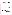### **C. Supplementary Information.**

The statutory authority for this action is Clean Air Act, Section 103(b)(3) which authorizes the award of grants for research, investigations, experiments, demonstrations, surveys, and studies related to the causes, effect, extent, prevention and control of air pollution.

## **II. Award Information**

## **A. What is the amount of funding available?**

The total estimated funding for this competitive opportunity is approximately \$80,000.

#### **B. How many agreements will EPA award in this competition?**

EPA anticipates award of one cooperative agreement resulting from this announcement.

Cooperative agreements permit substantial involvement between the EPA Project Officer and the selected applicants in the performance of the work supported. Although EPA will negotiate precise terms and conditions relating to substantial involvement as part of the award process, the anticipated substantial Federal involvement for this project would include collaboration on agenda development, selection of speakers, outreach and workshop logistics.

## **C. What is the project period for awards resulting from this solicitation?**

The estimated project period for awards resulting from this solicitation is June 15, 2005 through September 30, 2006.

## **D. Can funding be used to acquire services or fund other partnerships?**

Funding may be used to acquire services or fund partnerships, provided the recipient follows procurement and subaward or subgrant procedures contained in 40 [CFR P](http://www.gpoaccess.gov/cfr/retrieve.html)arts 30 or 31, as applicable. Successful applicants must compete contracts for services and products and conduct cost and price analyses to the extent required by these regulations. The regulations also contain limitations on consultant compensation. Applicants are not required to identify contractors or consultants in their proposal. Moreover, the fact that a successful applicant has named a specific contractor or consultant in the proposal EPA approves does not relieve it of its obligations to comply with competitive procurement requirements.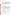Subgrants or subawards may be used to fund partnerships with non profit organizations and governmental entities. Successful applicants cannot use subgrants or subawards to avoid requirements in EPA grant regulations for competitive procurement by using these instruments to acquire commercial services or products to carry out its cooperative agreement. The nature of the transaction between the recipient and the subgrantee must be consistent with the standards for distinguishing between vendor transactions and subrecipient assistance under Subpart B Section .210 of [OMB Circular A-133,](http://www.whitehouse.gov/omb/circulars/a133/a133.html) and the definitions of "subaward" at 40 CFR 30.2(ff) or "subgrant" at 40 CFR 31.3, as applicable. EPA will not be a party to these transactions.

## **III. Eligibility Information**

## **A. Eligible Entities.**

Proposals will be accepted from state, local, multi-state, and tribal governmental agencies, universities, and non-profit organizations, as defined by **OMB** Circular A-122.

Non-profit organization, as defined by OMB Circular A-122, means any corporation, trust, association, cooperative, or other organization which: (1) is operated primarily for scientific, educational, service, charitable, or similar purposes in the public interest; (2) is not organized primarily for profit; and (3) uses its net proceeds to maintain, improve, and/or expand its operations. For this purpose, the term "non-profit organization" excludes (i) colleges and universities; (ii) hospitals; (iii) state, local, and federally-recognized Indian tribal governments; and (iv) those non-profit organizations which are excluded from coverage of this Circular in accordance with paragraph 5 of the Circular.

#### **B. Cost Effectiveness.**

While not required, applicants proposing cost-effective programs which leverage federal resources through a voluntary financial or in-kind commitment of resources will improve their scoring under the evaluation criterion of this solicitation. *(Refer to Section V(A), Evaluation Criteria.)*

#### **IV. Application and Submission Information**

#### **A. How to Obtain Application Package.**

The complete grants application package can be downloaded from EPA's Office of Grants and Debarment website at: [http://www.epa.gov/ogd/grants/how\\_to\\_apply.htm](http://www.epa.gov/ogd/grants/how_to_apply.htm)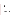Potential applicants may request a paper copy of the application package by contacting one of the agency contacts listed in Section VII of this announcement.

## **B. Content and Form of Application Submission.**

Applications must contain a narrative workplan, and one original completed and signed federal grant application package.

- A. A complete application must contain the following, in the sequential order shown:
	- A. SF-424 Application for Federal Assistance, with original signature
	- B. Key Contact List
	- C. Narrative Work Plan (including Detailed Itemized Budget), in the format detailed below
	- D. SF-424 A, Budget by categories and indirect cost rate
	- E. SF-424 B, Assurances for non-construction programs
	- F. Certification Regarding Lobbying
	- G. SF LLL, if applicable
	- H. EPA Form 4700-4 Preaward Compliance review report
	- I. Copy of Negotiated Indirect Cost Rate Agreement, if applicable
	- J. Quality Assurance Narrative Statement, if applicable
	- K. Other supporting documentation
- B. The narrative workplan, a maximum of 15 pages in length, must conform to the following outline:
	- A. Project Title.
	- B. Applicant Information. Include applicant (organization) name, address, contact person, phone number, fax and e-mail address.
	- C. Funding Requested. Specify the amount you are requesting from EPA.
	- D. Total Project Cost. Specify total cost of the project (EPA funding and cost-share). Identify funding from other sources including any in-kind resources.
	- E. Project period. Provide beginning and ending dates (for planning purposes, applicants should assume funds will be available in June 2005.)
	- F. Narrative Work Plan. The narrative workplan must explicitly describe how the proposed project meets the guidelines established in *Section I(B), Scope of Work* and, specifically, address each of the evaluation criteria disclosed in *Section V(A), Evaluation Criteria*.
	- G. Detailed Itemized Budget. Provide a budget for the following categories, specifying unit costs:

- Personnel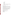- Fringe Benefits
- Contractual Costs
- Travel
- Equipment
- Supplies
- Other
- Total Direct Costs
- Total Indirect Costs: must include documentation of accepted indirect rate
- Total Cost
- H. Reporting Requirements. The final report should include: summary of the project, lessons learned, and costs of the project.

## **C. Submission Dates and Times.**

- 1. The deadline for submission of completed application packages is February 15, 2005, 5 p.m. EST. All application packages must be received in the program office listed below by the deadline. Applications received after the deadline will not be considered for funding.
- 2. Electronic Proposals (the narrative workplan and SF 424) must be submitted in Microsoft Word, Word Perfect, or pdf format to:Carraway.Candace@epa.gov. Proposals will be considered timely upon receipt, not transmission. An e-mail response confirming receipt of electronic proposals will be provided.
- 3. Because of the unique situation involving U.S. mail screening. EPA highly recommends that applicants use an express mail option to submit their applications. The application should be addressed to:

Express Delivery Address (FedEx, UPS, DHL, etc.)

Candace Carraway U.S. Environmental Protection Agency *(C-304-04)* OAQPS, Operating Permits Group (C304-04) 4930 Page Road Durham, NC 27703

Phone: 919 541 3189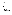## Regular Mail Delivery Address (U.S. Postal Service)

Candace Carraway U.S. Environmental Protection Agency OAQPS, Operating Permits Group *(C304-04)* Research Triangle Park, NC 27711

Direct Delivery (Street Address) Candace Carraway U.S. Environmental Protection Agency OAQPS, Operating Permits Group (C304-04) 109 T.W. Alexander Drive Research Triangle Park, NC 27709

## **V. Application Review Information**

## **A. Evaluation Criteria.**

Each eligible application will be evaluated according to the criteria set forth below.

- the applicant's knowledge of and experience with environmental justice issues and Title V issues (10 points);
- the applicant's experience in working with environmental justice communities and communities that are involved with air permitting issues (10 points);
- the applicant's experience with hosting and organizing workshops or similar events, particularly workshops whose audience is environmental justice advocates and/or community-based or environmental organizations (5 points);
- budget exhibits clearly-stated and appropriate levels of funding, indicating where funds are allocated to provide for travel scholarships (for persons/organizations who need financial assistance in order to attend) and workshop materials production (20 points);
- applicant's experience with effectively administering Federal financial assistance and successfully carrying out projects supported by EPA and other Federal agencies (5 points);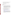- demonstration of how applicant will make use of existing coalitions established to address environmental justice and Title V issues (5 points).
- demonstration of how applicant will involve the intended audience for the workshops in planning and presenting the workshops (20 points).

## **VI. Award Administration Information**

## **A. Award Notices.**

Following final selections, all applicants will be notified regarding their application's status.

- 1. EPA anticipates notification to *successful* applicant will be made via telephone, electronic or postal mail by March 15, 2005. This notification, which advises that the applicant's proposal has been selected and is being recommended for award, is not an authorization to begin performance. The award notice signed by the EPA grants officer is the authorizing document and will be provided through postal mail. This process can take up to 90 days from the date of selection.
- 2. EPA anticipates notification to *unsuccessful* applicant(s) will be made via electronic or postal mail by March 15, 2005. In either event, the notification will be sent to the original signer of the application.

## **B. Administrative and National Policy Requirements.**

- 1. A listing and description of general EPA Regulations applicable to the award of assistance agreements may be viewed at: [http://www.epa.gov/ogd/AppKit/applicable\\_epa\\_regulations\\_and\\_](http://www.epa.gov/ogd/AppKit/applicable_epa_regulations_and_description.htm) [description.htm.](http://www.epa.gov/ogd/AppKit/applicable_epa_regulations_and_description.htm)
- b. Executive Order 12372, Intergovernmental Review of Federal Programs may be applicable to awards, resulting from this announcement. Applicants *selected* for funding may be required to provide a copy of their proposal to their [State Point of Contact](http://www.whitehouse.gov/omb/grants/spoc.html) (SPOC) for review, pursuant to Executive Order 12372, Intergovernmental Review of Federal Programs. This review is not required with the Initial Proposal and not all states require such a review.